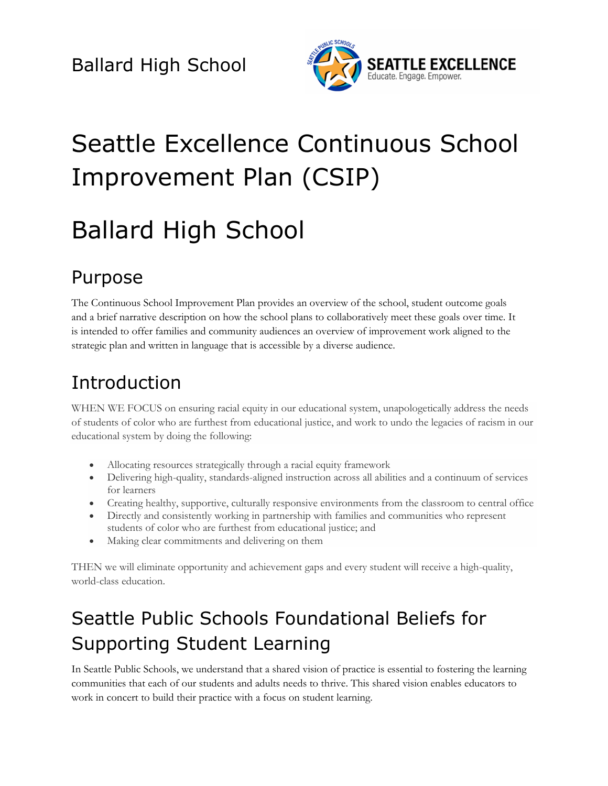

# Seattle Excellence Continuous School Improvement Plan (CSIP)

# Ballard High School

### Purpose

The Continuous School Improvement Plan provides an overview of the school, student outcome goals and a brief narrative description on how the school plans to collaboratively meet these goals over time. It is intended to offer families and community audiences an overview of improvement work aligned to the strategic plan and written in language that is accessible by a diverse audience.

## Introduction

WHEN WE FOCUS on ensuring racial equity in our educational system, unapologetically address the needs of students of color who are furthest from educational justice, and work to undo the legacies of racism in our educational system by doing the following:

- Allocating resources strategically through a racial equity framework
- Delivering high-quality, standards-aligned instruction across all abilities and a continuum of services for learners
- Creating healthy, supportive, culturally responsive environments from the classroom to central office
- Directly and consistently working in partnership with families and communities who represent students of color who are furthest from educational justice; and
- Making clear commitments and delivering on them

THEN we will eliminate opportunity and achievement gaps and every student will receive a high-quality, world-class education.

## Seattle Public Schools Foundational Beliefs for Supporting Student Learning

In Seattle Public Schools, we understand that a shared vision of practice is essential to fostering the learning communities that each of our students and adults needs to thrive. This shared vision enables educators to work in concert to build their practice with a focus on student learning.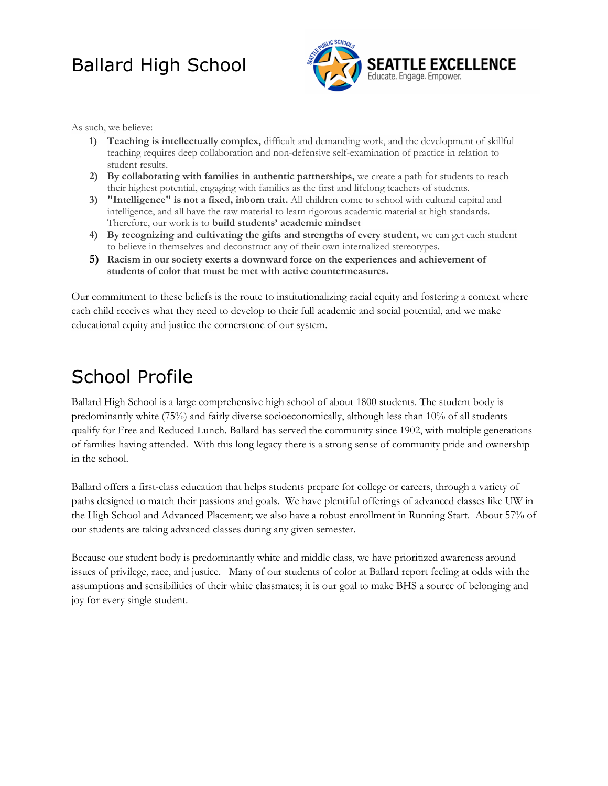

As such, we believe:

- **1) Teaching is intellectually complex,** difficult and demanding work, and the development of skillful teaching requires deep collaboration and non-defensive self-examination of practice in relation to student results.
- **2) By collaborating with families in authentic partnerships,** we create a path for students to reach their highest potential, engaging with families as the first and lifelong teachers of students.
- **3) "Intelligence" is not a fixed, inborn trait.** All children come to school with cultural capital and intelligence, and all have the raw material to learn rigorous academic material at high standards. Therefore, our work is to **build students' academic mindset**
- **4) By recognizing and cultivating the gifts and strengths of every student,** we can get each student to believe in themselves and deconstruct any of their own internalized stereotypes.
- **5) Racism in our society exerts a downward force on the experiences and achievement of students of color that must be met with active countermeasures.**

Our commitment to these beliefs is the route to institutionalizing racial equity and fostering a context where each child receives what they need to develop to their full academic and social potential, and we make educational equity and justice the cornerstone of our system.

### School Profile

Ballard High School is a large comprehensive high school of about 1800 students. The student body is predominantly white (75%) and fairly diverse socioeconomically, although less than 10% of all students qualify for Free and Reduced Lunch. Ballard has served the community since 1902, with multiple generations of families having attended. With this long legacy there is a strong sense of community pride and ownership in the school.

Ballard offers a first-class education that helps students prepare for college or careers, through a variety of paths designed to match their passions and goals. We have plentiful offerings of advanced classes like UW in the High School and Advanced Placement; we also have a robust enrollment in Running Start. About 57% of our students are taking advanced classes during any given semester.

Because our student body is predominantly white and middle class, we have prioritized awareness around issues of privilege, race, and justice. Many of our students of color at Ballard report feeling at odds with the assumptions and sensibilities of their white classmates; it is our goal to make BHS a source of belonging and joy for every single student.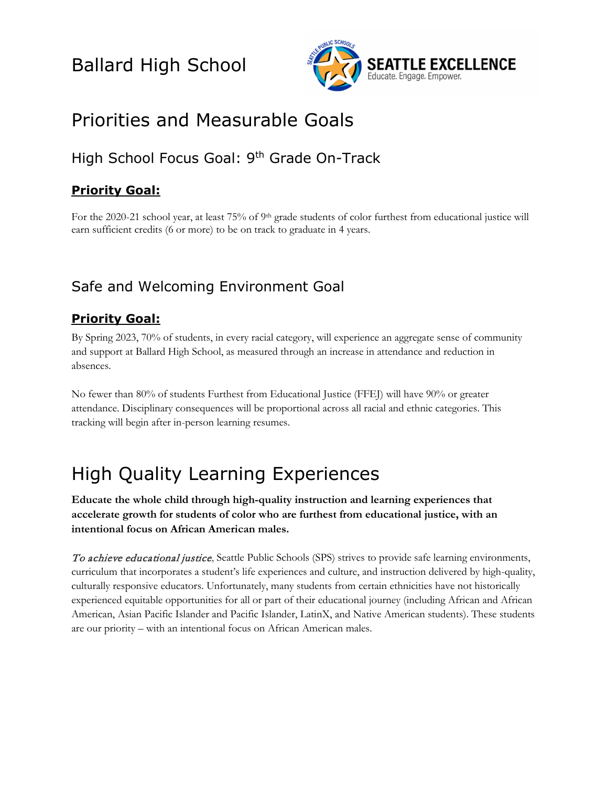

### Priorities and Measurable Goals

### High School Focus Goal: 9th Grade On-Track

#### **Priority Goal:**

For the 2020-21 school year, at least 75% of 9<sup>th</sup> grade students of color furthest from educational justice will earn sufficient credits (6 or more) to be on track to graduate in 4 years.

### Safe and Welcoming Environment Goal

#### **Priority Goal:**

By Spring 2023, 70% of students, in every racial category, will experience an aggregate sense of community and support at Ballard High School, as measured through an increase in attendance and reduction in absences.

No fewer than 80% of students Furthest from Educational Justice (FFEJ) will have 90% or greater attendance. Disciplinary consequences will be proportional across all racial and ethnic categories. This tracking will begin after in-person learning resumes.

### High Quality Learning Experiences

**Educate the whole child through high-quality instruction and learning experiences that accelerate growth for students of color who are furthest from educational justice, with an intentional focus on African American males.** 

To achieve educational justice, Seattle Public Schools (SPS) strives to provide safe learning environments, curriculum that incorporates a student's life experiences and culture, and instruction delivered by high-quality, culturally responsive educators. Unfortunately, many students from certain ethnicities have not historically experienced equitable opportunities for all or part of their educational journey (including African and African American, Asian Pacific Islander and Pacific Islander, LatinX, and Native American students). These students are our priority – with an intentional focus on African American males.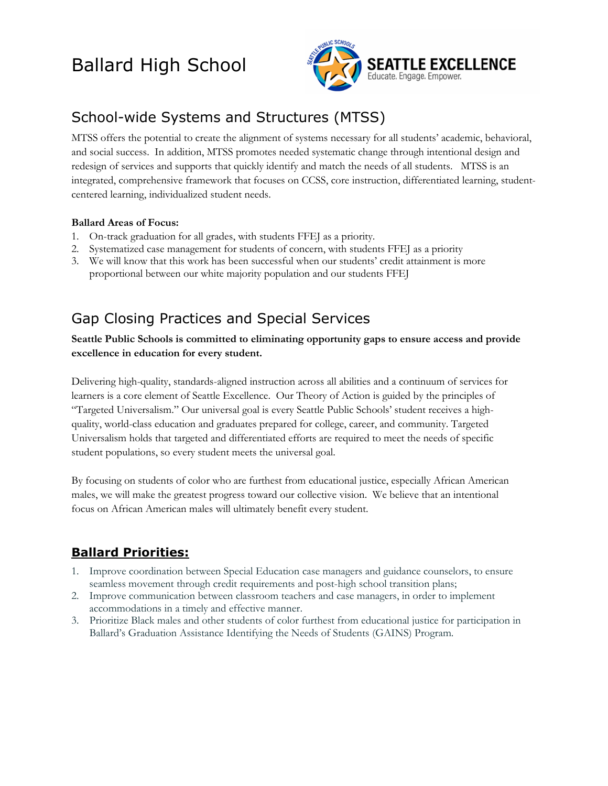

### School-wide Systems and Structures (MTSS)

MTSS offers the potential to create the alignment of systems necessary for all students' academic, behavioral, and social success. In addition, MTSS promotes needed systematic change through intentional design and redesign of services and supports that quickly identify and match the needs of all students. MTSS is an integrated, comprehensive framework that focuses on CCSS, core instruction, differentiated learning, studentcentered learning, individualized student needs.

#### **Ballard Areas of Focus:**

- 1. On-track graduation for all grades, with students FFEJ as a priority.
- 2. Systematized case management for students of concern, with students FFEJ as a priority
- 3. We will know that this work has been successful when our students' credit attainment is more proportional between our white majority population and our students FFEJ

### Gap Closing Practices and Special Services

**Seattle Public Schools is committed to eliminating opportunity gaps to ensure access and provide excellence in education for every student.**

Delivering high-quality, standards-aligned instruction across all abilities and a continuum of services for learners is a core element of Seattle Excellence. Our Theory of Action is guided by the principles of "Targeted Universalism." Our universal goal is every Seattle Public Schools' student receives a highquality, world-class education and graduates prepared for college, career, and community. Targeted Universalism holds that targeted and differentiated efforts are required to meet the needs of specific student populations, so every student meets the universal goal.

By focusing on students of color who are furthest from educational justice, especially African American males, we will make the greatest progress toward our collective vision. We believe that an intentional focus on African American males will ultimately benefit every student.

#### **Ballard Priorities:**

- 1. Improve coordination between Special Education case managers and guidance counselors, to ensure seamless movement through credit requirements and post-high school transition plans;
- 2. Improve communication between classroom teachers and case managers, in order to implement accommodations in a timely and effective manner.
- 3. Prioritize Black males and other students of color furthest from educational justice for participation in Ballard's Graduation Assistance Identifying the Needs of Students (GAINS) Program.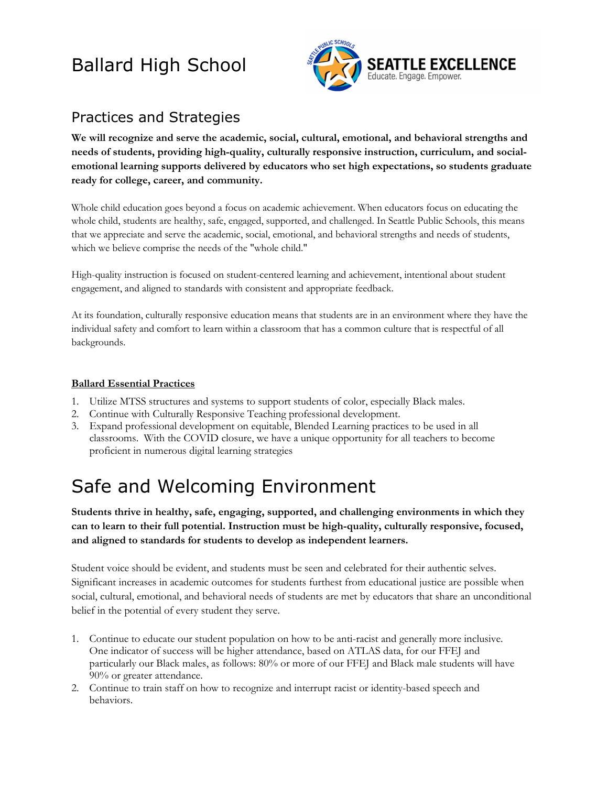

### Practices and Strategies

**We will recognize and serve the academic, social, cultural, emotional, and behavioral strengths and needs of students, providing high-quality, culturally responsive instruction, curriculum, and socialemotional learning supports delivered by educators who set high expectations, so students graduate ready for college, career, and community.**

Whole child education goes beyond a focus on academic achievement. When educators focus on educating the whole child, students are healthy, safe, engaged, supported, and challenged. In Seattle Public Schools, this means that we appreciate and serve the academic, social, emotional, and behavioral strengths and needs of students, which we believe comprise the needs of the "whole child."

High-quality instruction is focused on student-centered learning and achievement, intentional about student engagement, and aligned to standards with consistent and appropriate feedback.

At its foundation, culturally responsive education means that students are in an environment where they have the individual safety and comfort to learn within a classroom that has a common culture that is respectful of all backgrounds.

#### **Ballard Essential Practices**

- 1. Utilize MTSS structures and systems to support students of color, especially Black males.
- 2. Continue with Culturally Responsive Teaching professional development.
- 3. Expand professional development on equitable, Blended Learning practices to be used in all classrooms. With the COVID closure, we have a unique opportunity for all teachers to become proficient in numerous digital learning strategies

## Safe and Welcoming Environment

**Students thrive in healthy, safe, engaging, supported, and challenging environments in which they can to learn to their full potential. Instruction must be high-quality, culturally responsive, focused, and aligned to standards for students to develop as independent learners.**

Student voice should be evident, and students must be seen and celebrated for their authentic selves. Significant increases in academic outcomes for students furthest from educational justice are possible when social, cultural, emotional, and behavioral needs of students are met by educators that share an unconditional belief in the potential of every student they serve.

- 1. Continue to educate our student population on how to be anti-racist and generally more inclusive. One indicator of success will be higher attendance, based on ATLAS data, for our FFEJ and particularly our Black males, as follows: 80% or more of our FFEJ and Black male students will have 90% or greater attendance.
- 2. Continue to train staff on how to recognize and interrupt racist or identity-based speech and behaviors.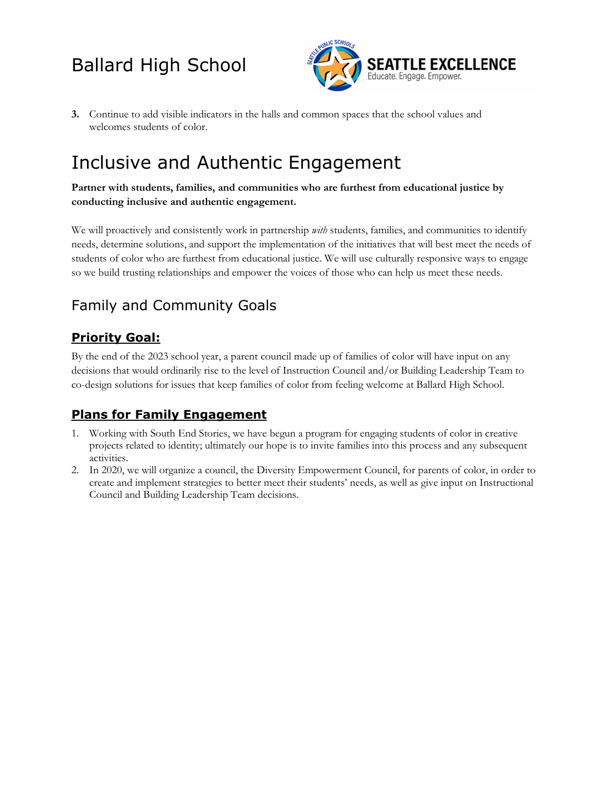

**3.** Continue to add visible indicators in the halls and common spaces that the school values and welcomes students of color.

### Inclusive and Authentic Engagement

**Partner with students, families, and communities who are furthest from educational justice by conducting inclusive and authentic engagement.** 

We will proactively and consistently work in partnership *with* students, families, and communities to identify needs, determine solutions, and support the implementation of the initiatives that will best meet the needs of students of color who are furthest from educational justice. We will use culturally responsive ways to engage so we build trusting relationships and empower the voices of those who can help us meet these needs.

### Family and Community Goals

#### **Priority Goal:**

By the end of the 2023 school year, a parent council made up of families of color will have input on any decisions that would ordinarily rise to the level of Instruction Council and/or Building Leadership Team to co-design solutions for issues that keep families of color from feeling welcome at Ballard High School.

#### **Plans for Family Engagement**

- 1. Working with South End Stories, we have begun a program for engaging students of color in creative projects related to identity; ultimately our hope is to invite families into this process and any subsequent activities.
- 2. In 2020, we will organize a council, the Diversity Empowerment Council, for parents of color, in order to create and implement strategies to better meet their students' needs, as well as give input on Instructional Council and Building Leadership Team decisions.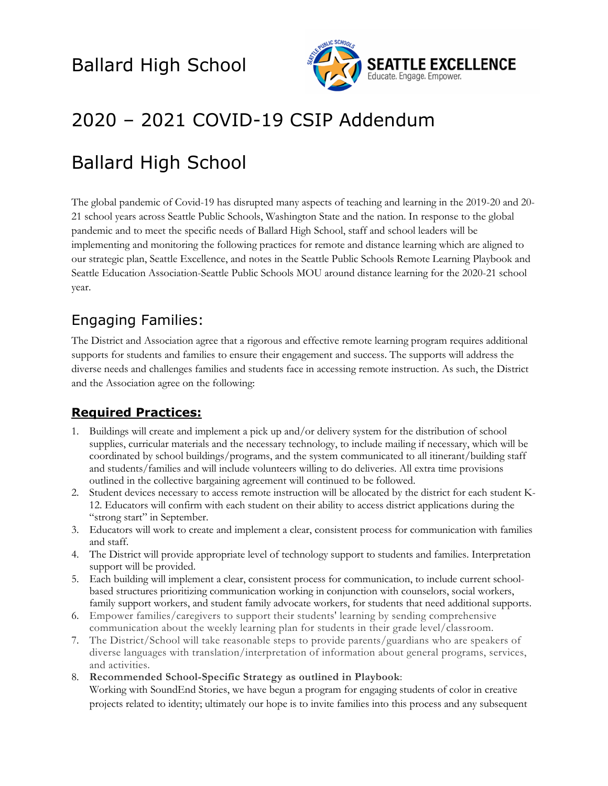

## 2020 – 2021 COVID-19 CSIP Addendum

## Ballard High School

The global pandemic of Covid-19 has disrupted many aspects of teaching and learning in the 2019-20 and 20- 21 school years across Seattle Public Schools, Washington State and the nation. In response to the global pandemic and to meet the specific needs of Ballard High School, staff and school leaders will be implementing and monitoring the following practices for remote and distance learning which are aligned to our strategic plan, Seattle Excellence, and notes in the Seattle Public Schools Remote Learning Playbook and Seattle Education Association-Seattle Public Schools MOU around distance learning for the 2020-21 school year.

### Engaging Families:

The District and Association agree that a rigorous and effective remote learning program requires additional supports for students and families to ensure their engagement and success. The supports will address the diverse needs and challenges families and students face in accessing remote instruction. As such, the District and the Association agree on the following:

#### **Required Practices:**

- 1. Buildings will create and implement a pick up and/or delivery system for the distribution of school supplies, curricular materials and the necessary technology, to include mailing if necessary, which will be coordinated by school buildings/programs, and the system communicated to all itinerant/building staff and students/families and will include volunteers willing to do deliveries. All extra time provisions outlined in the collective bargaining agreement will continued to be followed.
- 2. Student devices necessary to access remote instruction will be allocated by the district for each student K-12. Educators will confirm with each student on their ability to access district applications during the "strong start" in September.
- 3. Educators will work to create and implement a clear, consistent process for communication with families and staff.
- 4. The District will provide appropriate level of technology support to students and families. Interpretation support will be provided.
- 5. Each building will implement a clear, consistent process for communication, to include current schoolbased structures prioritizing communication working in conjunction with counselors, social workers, family support workers, and student family advocate workers, for students that need additional supports.
- 6. Empower families/caregivers to support their students' learning by sending comprehensive communication about the weekly learning plan for students in their grade level/classroom.
- 7. The District/School will take reasonable steps to provide parents/guardians who are speakers of diverse languages with translation/interpretation of information about general programs, services, and activities.
- 8. **Recommended School-Specific Strategy as outlined in Playbook**:

Working with SoundEnd Stories, we have begun a program for engaging students of color in creative projects related to identity; ultimately our hope is to invite families into this process and any subsequent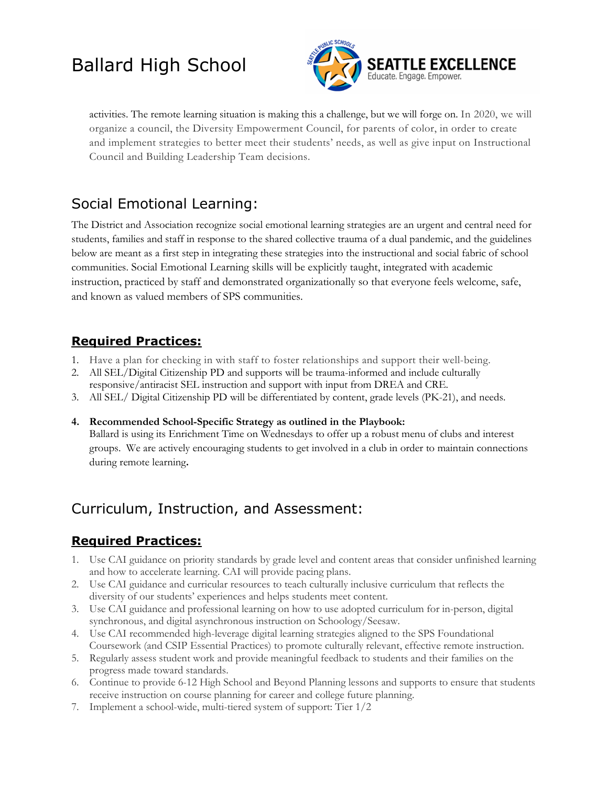

activities. The remote learning situation is making this a challenge, but we will forge on. In 2020, we will organize a council, the Diversity Empowerment Council, for parents of color, in order to create and implement strategies to better meet their students' needs, as well as give input on Instructional Council and Building Leadership Team decisions.

### Social Emotional Learning:

The District and Association recognize social emotional learning strategies are an urgent and central need for students, families and staff in response to the shared collective trauma of a dual pandemic, and the guidelines below are meant as a first step in integrating these strategies into the instructional and social fabric of school communities. Social Emotional Learning skills will be explicitly taught, integrated with academic instruction, practiced by staff and demonstrated organizationally so that everyone feels welcome, safe, and known as valued members of SPS communities.

#### **Required Practices:**

- 1. Have a plan for checking in with staff to foster relationships and support their well-being.
- 2. All SEL/Digital Citizenship PD and supports will be trauma-informed and include culturally
- responsive/antiracist SEL instruction and support with input from DREA and CRE.
- 3. All SEL/ Digital Citizenship PD will be differentiated by content, grade levels (PK-21), and needs.
- **4. Recommended School-Specific Strategy as outlined in the Playbook:**  Ballard is using its Enrichment Time on Wednesdays to offer up a robust menu of clubs and interest groups. We are actively encouraging students to get involved in a club in order to maintain connections during remote learning**.**

### Curriculum, Instruction, and Assessment:

#### **Required Practices:**

- 1. Use CAI guidance on priority standards by grade level and content areas that consider unfinished learning and how to accelerate learning. CAI will provide pacing plans.
- 2. Use CAI guidance and curricular resources to teach culturally inclusive curriculum that reflects the diversity of our students' experiences and helps students meet content.
- 3. Use CAI guidance and professional learning on how to use adopted curriculum for in-person, digital synchronous, and digital asynchronous instruction on Schoology/Seesaw.
- 4. Use CAI recommended high-leverage digital learning strategies aligned to the SPS Foundational Coursework (and CSIP Essential Practices) to promote culturally relevant, effective remote instruction.
- 5. Regularly assess student work and provide meaningful feedback to students and their families on the progress made toward standards.
- 6. Continue to provide 6-12 High School and Beyond Planning lessons and supports to ensure that students receive instruction on course planning for career and college future planning.
- 7. Implement a school-wide, multi-tiered system of support: Tier 1/2